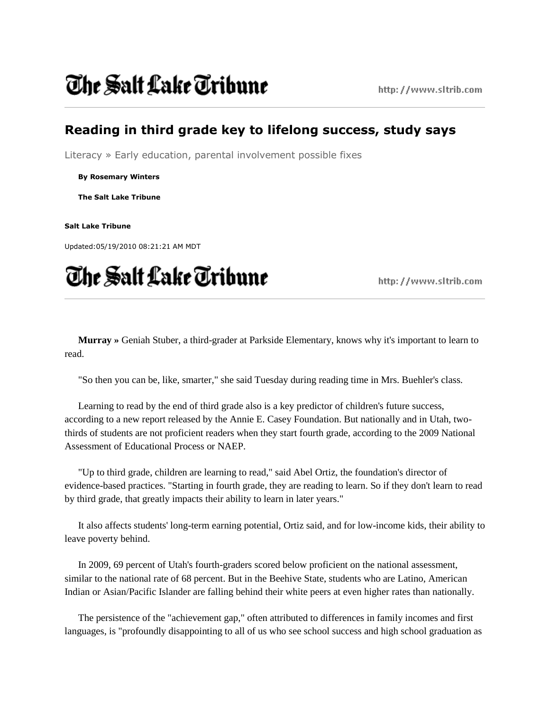## The Salt Lake Tribune

### **Reading in third grade key to lifelong success, study says**

Literacy » Early education, parental involvement possible fixes

**By Rosemary Winters**

**The Salt Lake Tribune**

**Salt Lake Tribune**

Updated:05/19/2010 08:21:21 AM MDT

# The Salt Lake Tribune

http://www.sltrib.com

**Murray »** Geniah Stuber, a third-grader at Parkside Elementary, knows why it's important to learn to read.

"So then you can be, like, smarter," she said Tuesday during reading time in Mrs. Buehler's class.

Learning to read by the end of third grade also is a key predictor of children's future success, according to a new report released by the Annie E. Casey Foundation. But nationally and in Utah, twothirds of students are not proficient readers when they start fourth grade, according to the 2009 National Assessment of Educational Process or NAEP.

"Up to third grade, children are learning to read," said Abel Ortiz, the foundation's director of evidence-based practices. "Starting in fourth grade, they are reading to learn. So if they don't learn to read by third grade, that greatly impacts their ability to learn in later years."

It also affects students' long-term earning potential, Ortiz said, and for low-income kids, their ability to leave poverty behind.

In 2009, 69 percent of Utah's fourth-graders scored below proficient on the national assessment, similar to the national rate of 68 percent. But in the Beehive State, students who are Latino, American Indian or Asian/Pacific Islander are falling behind their white peers at even higher rates than nationally.

The persistence of the "achievement gap," often attributed to differences in family incomes and first languages, is "profoundly disappointing to all of us who see school success and high school graduation as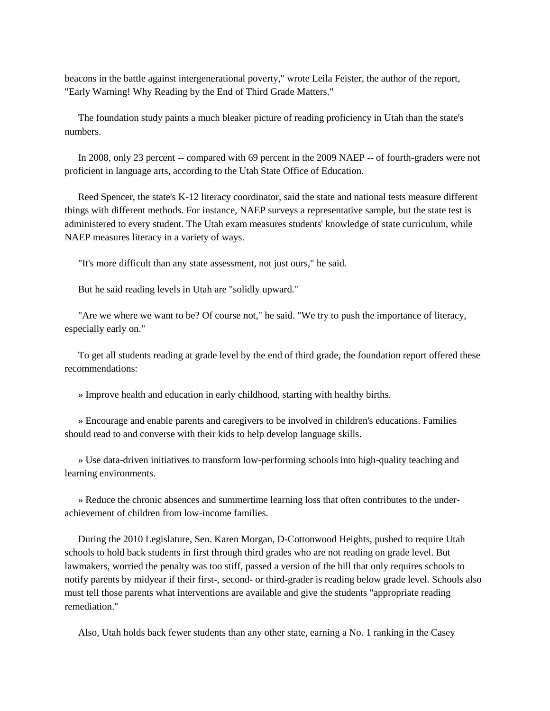beacons in the battle against intergenerational poverty," wrote Leila Feister, the author of the report, "Early Warning! Why Reading by the End of Third Grade Matters."

The foundation study paints a much bleaker picture of reading proficiency in Utah than the state's numbers.

In 2008, only 23 percent -- compared with 69 percent in the 2009 NAEP -- of fourth-graders were not proficient in language arts, according to the Utah State Office of Education.

Reed Spencer, the state's K-12 literacy coordinator, said the state and national tests measure different things with different methods. For instance, NAEP surveys a representative sample, but the state test is administered to every student. The Utah exam measures students' knowledge of state curriculum, while NAEP measures literacy in a variety of ways.

"It's more difficult than any state assessment, not just ours," he said.

But he said reading levels in Utah are "solidly upward."

"Are we where we want to be? Of course not," he said. "We try to push the importance of literacy, especially early on."

To get all students reading at grade level by the end of third grade, the foundation report offered these recommendations:

» Improve health and education in early childhood, starting with healthy births.

» Encourage and enable parents and caregivers to be involved in children's educations. Families should read to and converse with their kids to help develop language skills.

» Use data-driven initiatives to transform low-performing schools into high-quality teaching and learning environments.

» Reduce the chronic absences and summertime learning loss that often contributes to the underachievement of children from low-income families.

During the 2010 Legislature, Sen. Karen Morgan, D-Cottonwood Heights, pushed to require Utah schools to hold back students in first through third grades who are not reading on grade level. But lawmakers, worried the penalty was too stiff, passed a version of the bill that only requires schools to notify parents by midyear if their first-, second- or third-grader is reading below grade level. Schools also must tell those parents what interventions are available and give the students "appropriate reading remediation."

Also, Utah holds back fewer students than any other state, earning a No. 1 ranking in the Casey